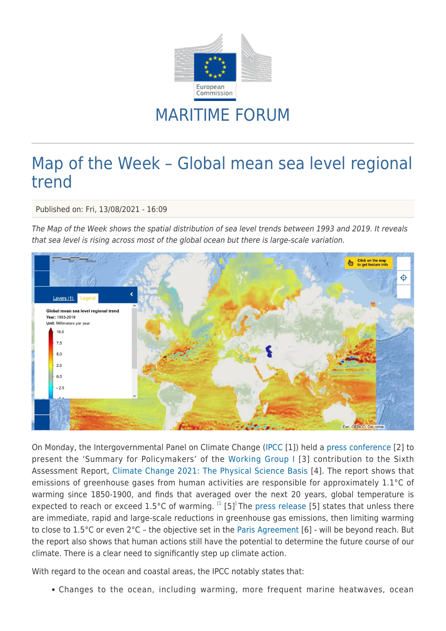

## MARITIME FORUM

## Map of the Week – Global mean sea level regional trend

Published on: Fri, 13/08/2021 - 16:09

The Map of the Week shows the spatial distribution of sea level trends between 1993 and 2019. It reveals that sea level is rising across most of the global ocean but there is large-scale variation.



On Monday, the Intergovernmental Panel on Climate Change ([IPCC](https://www.ipcc.ch/) [1]) held a [press conference](https://www.youtube.com/watch?v=z149vLKn9d8) [2] to present the 'Summary for Policymakers' of the [Working Group I](https://www.ipcc.ch/working-group/wg1/) [3] contribution to the Sixth Assessment Report, [Climate Change 2021: The Physical Science Basis](https://www.ipcc.ch/report/ar6/wg1/) [4]. The report shows that emissions of greenhouse gases from human activities are responsible for approximately 1.1°C of warming since 1850-1900, and finds that averaged over the next 20 years, global temperature is expected to reach or exceed 1.5°C of warming.  $^{[1]}$  $^{[1]}$  $^{[1]}$  [5]<sup>1</sup>The [press release](https://www.ipcc.ch/site/assets/uploads/2021/08/IPCC_WGI-AR6-Press-Release_en.pdf) [5] states that unless there are immediate, rapid and large-scale reductions in greenhouse gas emissions, then limiting warming to close to 1.5°C or even 2°C – the objective set in the [Paris Agreement](https://unfccc.int/process-and-meetings/the-paris-agreement/the-paris-agreement) [6] - will be beyond reach. But the report also shows that human actions still have the potential to determine the future course of our climate. There is a clear need to significantly step up climate action.

With regard to the ocean and coastal areas, the IPCC notably states that:

Changes to the ocean, including warming, more frequent marine heatwaves, ocean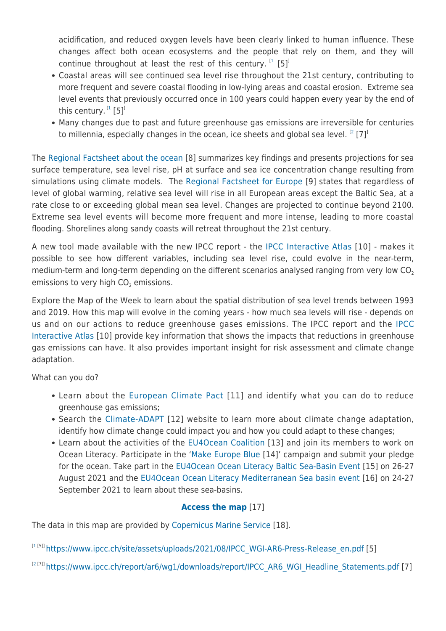acidification, and reduced oxygen levels have been clearly linked to human influence. These changes affect both ocean ecosystems and the people that rely on them, and they will continue throughout at least the rest of this century.  $^{[1]}$  $^{[1]}$  $^{[1]}$  [5]<sup>]</sup>

- Coastal areas will see continued sea level rise throughout the 21st century, contributing to more frequent and severe coastal flooding in low-lying areas and coastal erosion. Extreme sea level events that previously occurred once in 100 years could happen every year by the end of this century.  $^{\rm I1}$  $^{\rm I1}$  $^{\rm I1}$  [5] $^{\rm I}$
- Many changes due to past and future greenhouse gas emissions are irreversible for centuries to millennia, especially changes in the ocean, ice sheets and global sea level.  $^{[2]}$  $^{[2]}$  $^{[2]}$  [7]

The [Regional Factsheet about the ocean](https://www.ipcc.ch/report/ar6/wg1/downloads/factsheets/IPCC_AR6_WGI_Regional_Fact_Sheet_Ocean.pdf) [8] summarizes key findings and presents projections for sea surface temperature, sea level rise, pH at surface and sea ice concentration change resulting from simulations using climate models. The [Regional Factsheet for Europe](https://www.ipcc.ch/report/ar6/wg1/downloads/factsheets/IPCC_AR6_WGI_Regional_Fact_Sheet_Europe.pdf) [9] states that regardless of level of global warming, relative sea level will rise in all European areas except the Baltic Sea, at a rate close to or exceeding global mean sea level. Changes are projected to continue beyond 2100. Extreme sea level events will become more frequent and more intense, leading to more coastal flooding. Shorelines along sandy coasts will retreat throughout the 21st century.

A new tool made available with the new IPCC report - the [IPCC Interactive Atlas](https://interactive-atlas.ipcc.ch/) [10] - makes it possible to see how different variables, including sea level rise, could evolve in the near-term, medium-term and long-term depending on the different scenarios analysed ranging from very low CO<sub>2</sub> emissions to very high  $\mathsf{CO}_2$  emissions.

Explore the Map of the Week to learn about the spatial distribution of sea level trends between 1993 and 2019. How this map will evolve in the coming years - how much sea levels will rise - depends on us and on our actions to reduce greenhouse gases emissions. The IPCC report and the [IPCC](https://interactive-atlas.ipcc.ch/) [Interactive Atlas](https://interactive-atlas.ipcc.ch/) [10] provide key information that shows the impacts that reductions in greenhouse gas emissions can have. It also provides important insight for risk assessment and climate change adaptation.

What can you do?

- Learn about the [European Climate Pact](https://europa.eu/climate-pact/index_en) [11] and identify what you can do to reduce greenhouse gas emissions;
- Search the [Climate-ADAPT](https://climate-adapt.eea.europa.eu/) [12] website to learn more about climate change adaptation, identify how climate change could impact you and how you could adapt to these changes;
- Learn about the activities of the [EU4Ocean Coalition](https://webgate.ec.europa.eu/maritimeforum/en/frontpage/1482) [13] and join its members to work on Ocean Literacy. Participate in the '[Make Europe Blue](https://webgate.ec.europa.eu/maritimeforum/en/frontpage/1647) [14]' campaign and submit your pledge for the ocean. Take part in the [EU4Ocean Ocean Literacy Baltic Sea-Basin Event](https://webgate.ec.europa.eu/maritimeforum/en/node/6382) [15] on 26-27 August 2021 and the [EU4Ocean Ocean Literacy Mediterranean Sea basin event](https://webgate.ec.europa.eu/maritimeforum/en/node/6360) [16] on 24-27 September 2021 to learn about these sea-basins.

## **[Access the map](https://ec.europa.eu/maritimeaffairs/atlas/maritime_atlas/#lang=EN;p=w;bkgd=5;theme=128:0.8;c=-370267.75941552594,6456059.780637493;z=2;e=t)** [17]

The data in this map are provided by [Copernicus Marine Service](https://marine.copernicus.eu/) [18].

[[1](https://www.ipcc.ch/site/assets/uploads/2021/08/IPCC_WGI-AR6-Press-Release_en.pdf)<sup>[5]]</sup> [https://www.ipcc.ch/site/assets/uploads/2021/08/IPCC\\_WGI-AR6-Press-Release\\_en.pdf](https://www.ipcc.ch/site/assets/uploads/2021/08/IPCC_WGI-AR6-Press-Release_en.pdf) [5]

 $^{[2 [7]]}$  $^{[2 [7]]}$  $^{[2 [7]]}$ [https://www.ipcc.ch/report/ar6/wg1/downloads/report/IPCC\\_AR6\\_WGI\\_Headline\\_Statements.pdf](https://www.ipcc.ch/report/ar6/wg1/downloads/report/IPCC_AR6_WGI_Headline_Statements.pdf) [7]